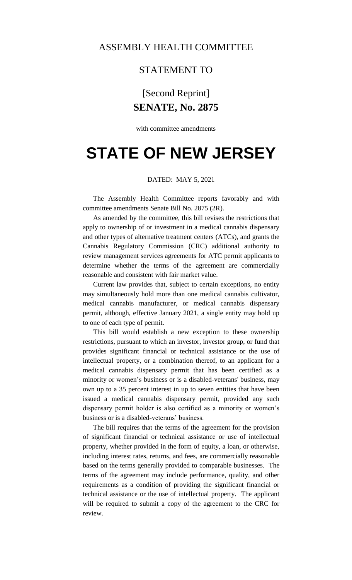## ASSEMBLY HEALTH COMMITTEE

### STATEMENT TO

# [Second Reprint] **SENATE, No. 2875**

with committee amendments

# **STATE OF NEW JERSEY**

#### DATED: MAY 5, 2021

The Assembly Health Committee reports favorably and with committee amendments Senate Bill No. 2875 (2R).

As amended by the committee, this bill revises the restrictions that apply to ownership of or investment in a medical cannabis dispensary and other types of alternative treatment centers (ATCs), and grants the Cannabis Regulatory Commission (CRC) additional authority to review management services agreements for ATC permit applicants to determine whether the terms of the agreement are commercially reasonable and consistent with fair market value.

Current law provides that, subject to certain exceptions, no entity may simultaneously hold more than one medical cannabis cultivator, medical cannabis manufacturer, or medical cannabis dispensary permit, although, effective January 2021, a single entity may hold up to one of each type of permit.

This bill would establish a new exception to these ownership restrictions, pursuant to which an investor, investor group, or fund that provides significant financial or technical assistance or the use of intellectual property, or a combination thereof, to an applicant for a medical cannabis dispensary permit that has been certified as a minority or women's business or is a disabled-veterans' business, may own up to a 35 percent interest in up to seven entities that have been issued a medical cannabis dispensary permit, provided any such dispensary permit holder is also certified as a minority or women's business or is a disabled-veterans' business.

The bill requires that the terms of the agreement for the provision of significant financial or technical assistance or use of intellectual property, whether provided in the form of equity, a loan, or otherwise, including interest rates, returns, and fees, are commercially reasonable based on the terms generally provided to comparable businesses. The terms of the agreement may include performance, quality, and other requirements as a condition of providing the significant financial or technical assistance or the use of intellectual property. The applicant will be required to submit a copy of the agreement to the CRC for review.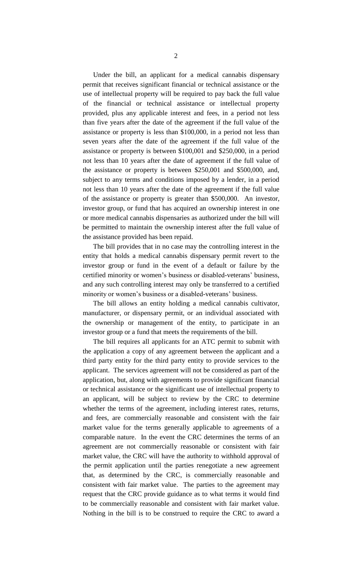Under the bill, an applicant for a medical cannabis dispensary permit that receives significant financial or technical assistance or the use of intellectual property will be required to pay back the full value of the financial or technical assistance or intellectual property provided, plus any applicable interest and fees, in a period not less than five years after the date of the agreement if the full value of the assistance or property is less than \$100,000, in a period not less than seven years after the date of the agreement if the full value of the assistance or property is between \$100,001 and \$250,000, in a period not less than 10 years after the date of agreement if the full value of the assistance or property is between \$250,001 and \$500,000, and, subject to any terms and conditions imposed by a lender, in a period not less than 10 years after the date of the agreement if the full value of the assistance or property is greater than \$500,000. An investor, investor group, or fund that has acquired an ownership interest in one or more medical cannabis dispensaries as authorized under the bill will be permitted to maintain the ownership interest after the full value of the assistance provided has been repaid.

The bill provides that in no case may the controlling interest in the entity that holds a medical cannabis dispensary permit revert to the investor group or fund in the event of a default or failure by the certified minority or women's business or disabled-veterans' business, and any such controlling interest may only be transferred to a certified minority or women's business or a disabled-veterans' business.

The bill allows an entity holding a medical cannabis cultivator, manufacturer, or dispensary permit, or an individual associated with the ownership or management of the entity, to participate in an investor group or a fund that meets the requirements of the bill.

The bill requires all applicants for an ATC permit to submit with the application a copy of any agreement between the applicant and a third party entity for the third party entity to provide services to the applicant. The services agreement will not be considered as part of the application, but, along with agreements to provide significant financial or technical assistance or the significant use of intellectual property to an applicant, will be subject to review by the CRC to determine whether the terms of the agreement, including interest rates, returns, and fees, are commercially reasonable and consistent with the fair market value for the terms generally applicable to agreements of a comparable nature. In the event the CRC determines the terms of an agreement are not commercially reasonable or consistent with fair market value, the CRC will have the authority to withhold approval of the permit application until the parties renegotiate a new agreement that, as determined by the CRC, is commercially reasonable and consistent with fair market value. The parties to the agreement may request that the CRC provide guidance as to what terms it would find to be commercially reasonable and consistent with fair market value. Nothing in the bill is to be construed to require the CRC to award a